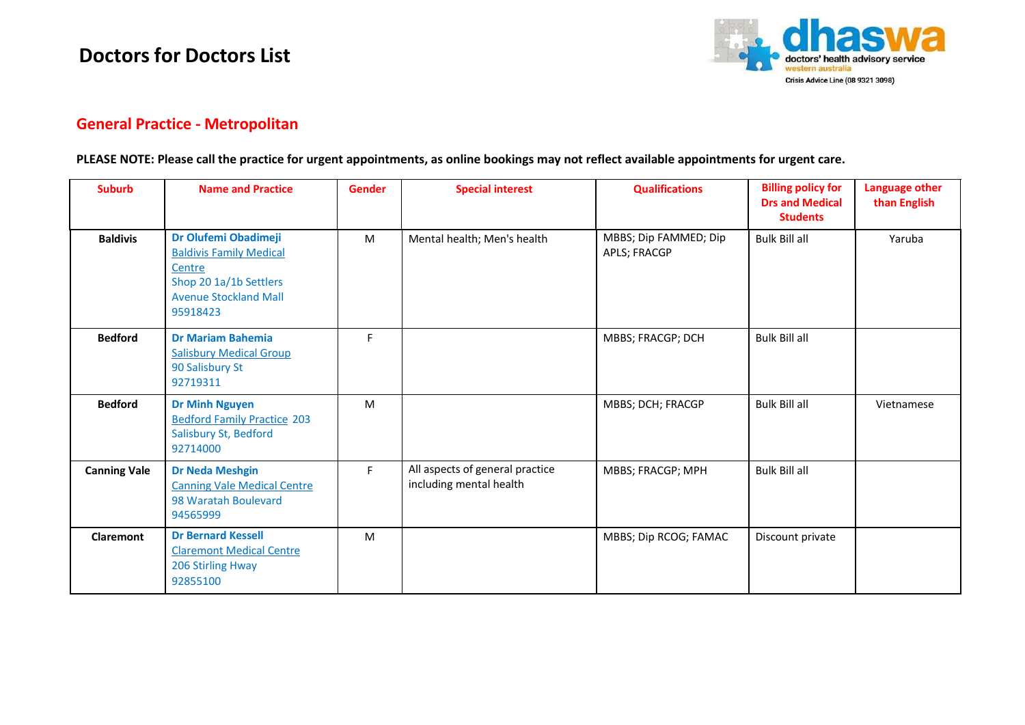## **Doctors for Doctors List**



## **General Practice - Metropolitan**

## **PLEASE NOTE: Please call the practice for urgent appointments, as online bookings may not reflect available appointments for urgent care.**

| <b>Suburb</b>       | <b>Name and Practice</b>                                                                                                               | <b>Gender</b> | <b>Special interest</b>                                    | <b>Qualifications</b>                 | <b>Billing policy for</b><br><b>Drs and Medical</b><br><b>Students</b> | Language other<br>than English |
|---------------------|----------------------------------------------------------------------------------------------------------------------------------------|---------------|------------------------------------------------------------|---------------------------------------|------------------------------------------------------------------------|--------------------------------|
| <b>Baldivis</b>     | Dr Olufemi Obadimeji<br><b>Baldivis Family Medical</b><br>Centre<br>Shop 20 1a/1b Settlers<br><b>Avenue Stockland Mall</b><br>95918423 | M             | Mental health; Men's health                                | MBBS; Dip FAMMED; Dip<br>APLS; FRACGP | <b>Bulk Bill all</b>                                                   | Yaruba                         |
| <b>Bedford</b>      | <b>Dr Mariam Bahemia</b><br><b>Salisbury Medical Group</b><br>90 Salisbury St<br>92719311                                              | F             |                                                            | MBBS; FRACGP; DCH                     | <b>Bulk Bill all</b>                                                   |                                |
| <b>Bedford</b>      | <b>Dr Minh Nguyen</b><br><b>Bedford Family Practice 203</b><br>Salisbury St, Bedford<br>92714000                                       | M             |                                                            | MBBS; DCH; FRACGP                     | <b>Bulk Bill all</b>                                                   | Vietnamese                     |
| <b>Canning Vale</b> | <b>Dr Neda Meshgin</b><br><b>Canning Vale Medical Centre</b><br>98 Waratah Boulevard<br>94565999                                       | F.            | All aspects of general practice<br>including mental health | MBBS; FRACGP; MPH                     | <b>Bulk Bill all</b>                                                   |                                |
| Claremont           | <b>Dr Bernard Kessell</b><br><b>Claremont Medical Centre</b><br>206 Stirling Hway<br>92855100                                          | M             |                                                            | MBBS; Dip RCOG; FAMAC                 | Discount private                                                       |                                |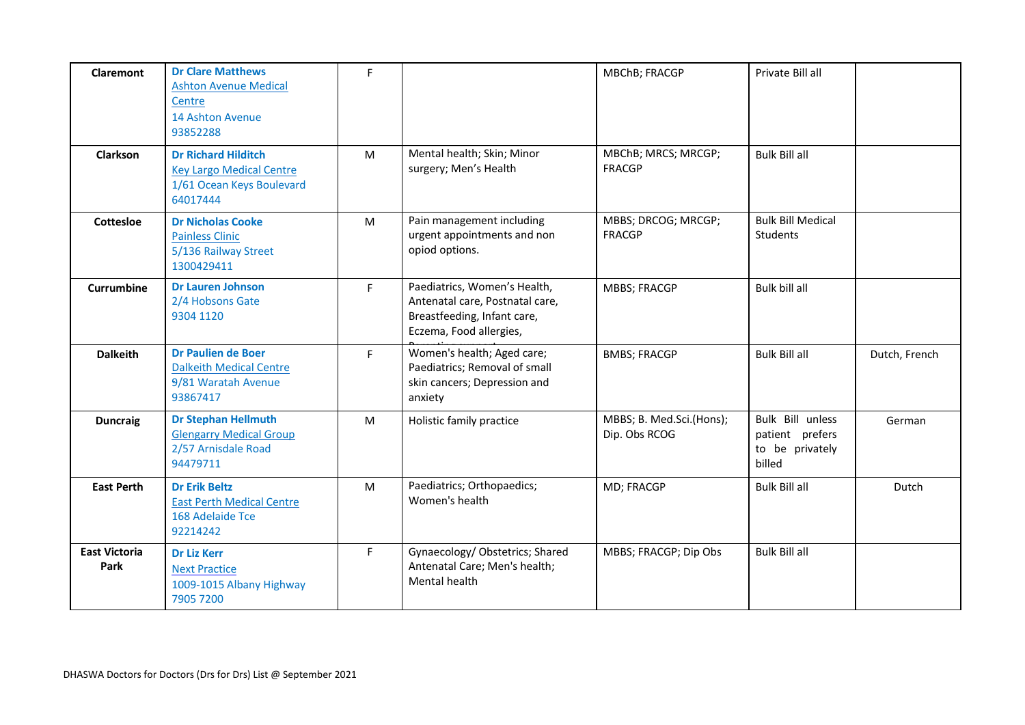| Claremont                    | <b>Dr Clare Matthews</b><br><b>Ashton Avenue Medical</b><br>Centre<br>14 Ashton Avenue<br>93852288     | F  |                                                                                                                           | MBChB; FRACGP                             | Private Bill all                                                 |               |
|------------------------------|--------------------------------------------------------------------------------------------------------|----|---------------------------------------------------------------------------------------------------------------------------|-------------------------------------------|------------------------------------------------------------------|---------------|
| <b>Clarkson</b>              | <b>Dr Richard Hilditch</b><br><b>Key Largo Medical Centre</b><br>1/61 Ocean Keys Boulevard<br>64017444 | M  | Mental health; Skin; Minor<br>surgery; Men's Health                                                                       | MBChB; MRCS; MRCGP;<br><b>FRACGP</b>      | <b>Bulk Bill all</b>                                             |               |
| <b>Cottesloe</b>             | <b>Dr Nicholas Cooke</b><br><b>Painless Clinic</b><br>5/136 Railway Street<br>1300429411               | M  | Pain management including<br>urgent appointments and non<br>opiod options.                                                | MBBS; DRCOG; MRCGP;<br><b>FRACGP</b>      | <b>Bulk Bill Medical</b><br>Students                             |               |
| <b>Currumbine</b>            | <b>Dr Lauren Johnson</b><br>2/4 Hobsons Gate<br>9304 1120                                              | F. | Paediatrics, Women's Health,<br>Antenatal care, Postnatal care,<br>Breastfeeding, Infant care,<br>Eczema, Food allergies, | <b>MBBS; FRACGP</b>                       | Bulk bill all                                                    |               |
| <b>Dalkeith</b>              | <b>Dr Paulien de Boer</b><br><b>Dalkeith Medical Centre</b><br>9/81 Waratah Avenue<br>93867417         | F. | Women's health; Aged care;<br>Paediatrics; Removal of small<br>skin cancers; Depression and<br>anxiety                    | <b>BMBS; FRACGP</b>                       | <b>Bulk Bill all</b>                                             | Dutch, French |
| <b>Duncraig</b>              | <b>Dr Stephan Hellmuth</b><br><b>Glengarry Medical Group</b><br>2/57 Arnisdale Road<br>94479711        | M  | Holistic family practice                                                                                                  | MBBS; B. Med.Sci.(Hons);<br>Dip. Obs RCOG | Bulk Bill unless<br>patient prefers<br>to be privately<br>billed | German        |
| <b>East Perth</b>            | <b>Dr Erik Beltz</b><br><b>East Perth Medical Centre</b><br>168 Adelaide Tce<br>92214242               | M  | Paediatrics; Orthopaedics;<br>Women's health                                                                              | MD; FRACGP                                | <b>Bulk Bill all</b>                                             | Dutch         |
| <b>East Victoria</b><br>Park | <b>Dr Liz Kerr</b><br><b>Next Practice</b><br>1009-1015 Albany Highway<br>7905 7200                    | F. | Gynaecology/ Obstetrics; Shared<br>Antenatal Care; Men's health;<br>Mental health                                         | MBBS; FRACGP; Dip Obs                     | <b>Bulk Bill all</b>                                             |               |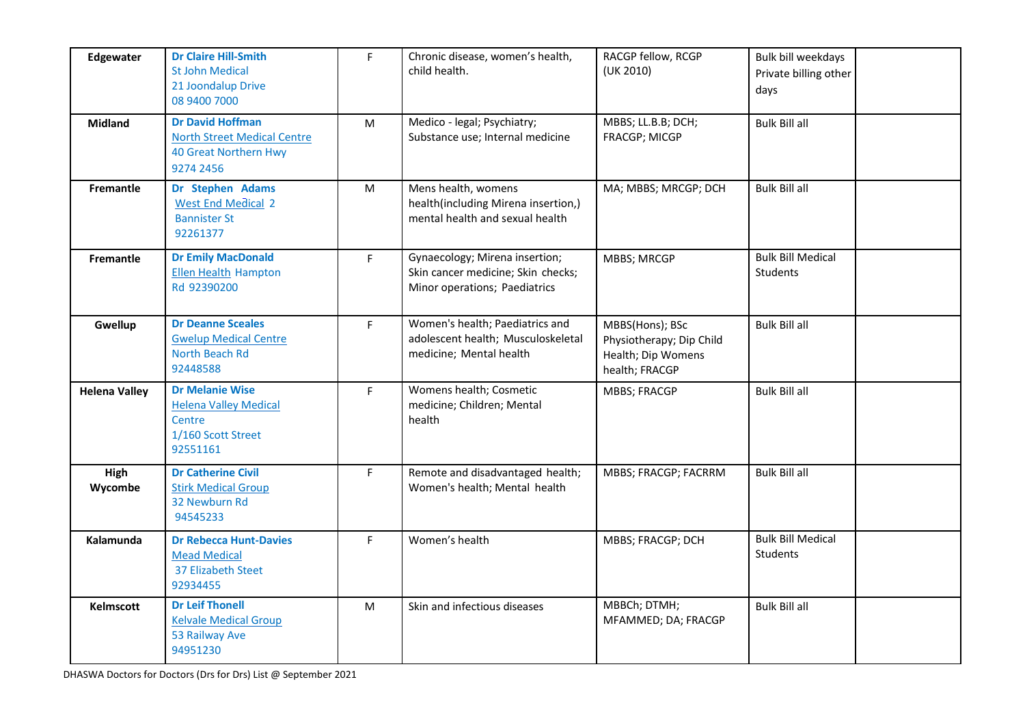| Edgewater            | <b>Dr Claire Hill-Smith</b><br><b>St John Medical</b><br>21 Joondalup Drive<br>08 9400 7000                | F.        | Chronic disease, women's health,<br>child health.                                                     | RACGP fellow, RCGP<br>(UK 2010)                                                     | Bulk bill weekdays<br>Private billing other<br>days |
|----------------------|------------------------------------------------------------------------------------------------------------|-----------|-------------------------------------------------------------------------------------------------------|-------------------------------------------------------------------------------------|-----------------------------------------------------|
| <b>Midland</b>       | <b>Dr David Hoffman</b><br><b>North Street Medical Centre</b><br><b>40 Great Northern Hwy</b><br>9274 2456 | ${\sf M}$ | Medico - legal; Psychiatry;<br>Substance use; Internal medicine                                       | MBBS; LL.B.B; DCH;<br>FRACGP; MICGP                                                 | <b>Bulk Bill all</b>                                |
| Fremantle            | Dr Stephen Adams<br><b>West End Medical 2</b><br><b>Bannister St</b><br>92261377                           | M         | Mens health, womens<br>health(including Mirena insertion,)<br>mental health and sexual health         | MA; MBBS; MRCGP; DCH                                                                | <b>Bulk Bill all</b>                                |
| <b>Fremantle</b>     | <b>Dr Emily MacDonald</b><br><b>Ellen Health Hampton</b><br>Rd 92390200                                    | F.        | Gynaecology; Mirena insertion;<br>Skin cancer medicine; Skin checks;<br>Minor operations; Paediatrics | <b>MBBS; MRCGP</b>                                                                  | <b>Bulk Bill Medical</b><br>Students                |
| Gwellup              | <b>Dr Deanne Sceales</b><br><b>Gwelup Medical Centre</b><br>North Beach Rd<br>92448588                     | F         | Women's health; Paediatrics and<br>adolescent health; Musculoskeletal<br>medicine; Mental health      | MBBS(Hons); BSc<br>Physiotherapy; Dip Child<br>Health; Dip Womens<br>health; FRACGP | <b>Bulk Bill all</b>                                |
| <b>Helena Valley</b> | <b>Dr Melanie Wise</b><br><b>Helena Valley Medical</b><br>Centre<br>1/160 Scott Street<br>92551161         | F         | Womens health; Cosmetic<br>medicine; Children; Mental<br>health                                       | MBBS; FRACGP                                                                        | <b>Bulk Bill all</b>                                |
| High<br>Wycombe      | <b>Dr Catherine Civil</b><br><b>Stirk Medical Group</b><br>32 Newburn Rd<br>94545233                       | F.        | Remote and disadvantaged health;<br>Women's health; Mental health                                     | MBBS; FRACGP; FACRRM                                                                | <b>Bulk Bill all</b>                                |
| Kalamunda            | <b>Dr Rebecca Hunt-Davies</b><br><b>Mead Medical</b><br><b>37 Elizabeth Steet</b><br>92934455              | F.        | Women's health                                                                                        | MBBS; FRACGP; DCH                                                                   | <b>Bulk Bill Medical</b><br>Students                |
| Kelmscott            | <b>Dr Leif Thonell</b><br><b>Kelvale Medical Group</b><br>53 Railway Ave<br>94951230                       | M         | Skin and infectious diseases                                                                          | MBBCh; DTMH;<br>MFAMMED; DA; FRACGP                                                 | <b>Bulk Bill all</b>                                |

DHASWA Doctors for Doctors (Drs for Drs) List @ September 2021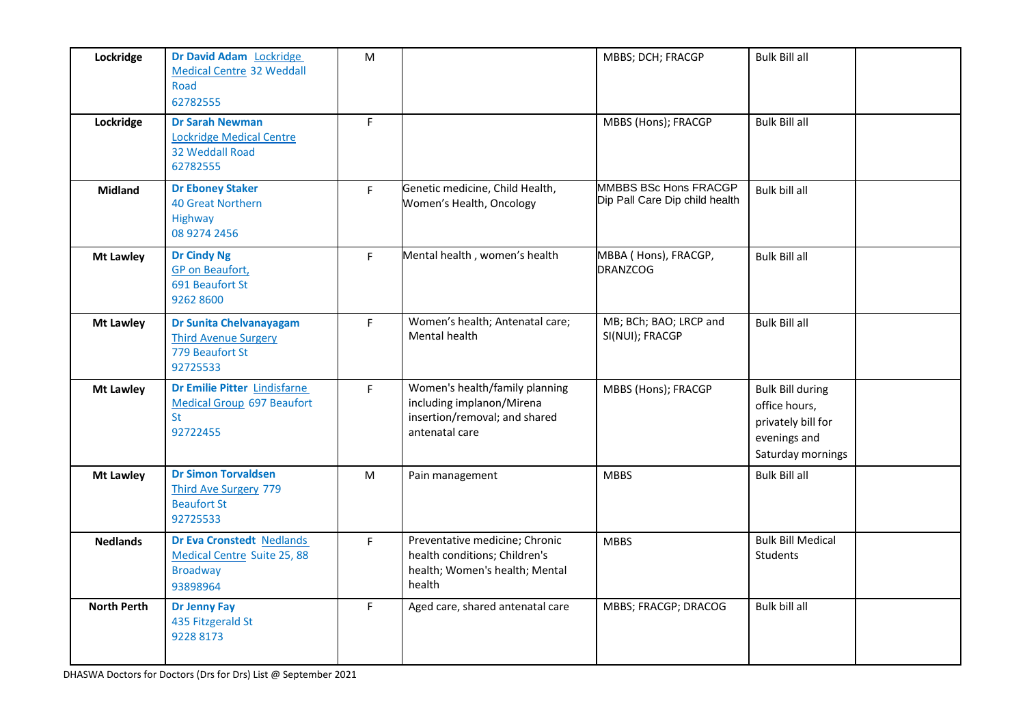| Lockridge          | Dr David Adam Lockridge<br><b>Medical Centre 32 Weddall</b><br>Road<br>62782555                | M  |                                                                                                                | MBBS; DCH; FRACGP                                       | <b>Bulk Bill all</b>                                                                                |  |
|--------------------|------------------------------------------------------------------------------------------------|----|----------------------------------------------------------------------------------------------------------------|---------------------------------------------------------|-----------------------------------------------------------------------------------------------------|--|
| Lockridge          | <b>Dr Sarah Newman</b><br><b>Lockridge Medical Centre</b><br>32 Weddall Road<br>62782555       | F  |                                                                                                                | MBBS (Hons); FRACGP                                     | <b>Bulk Bill all</b>                                                                                |  |
| <b>Midland</b>     | <b>Dr Eboney Staker</b><br><b>40 Great Northern</b><br>Highway<br>08 9274 2456                 | F  | Genetic medicine, Child Health,<br>Women's Health, Oncology                                                    | MMBBS BSc Hons FRACGP<br>Dip Pall Care Dip child health | Bulk bill all                                                                                       |  |
| <b>Mt Lawley</b>   | <b>Dr Cindy Ng</b><br><b>GP</b> on Beaufort,<br>691 Beaufort St<br>9262 8600                   | F. | Mental health, women's health                                                                                  | MBBA ( Hons), FRACGP,<br><b>DRANZCOG</b>                | <b>Bulk Bill all</b>                                                                                |  |
| <b>Mt Lawley</b>   | Dr Sunita Chelvanayagam<br><b>Third Avenue Surgery</b><br>779 Beaufort St<br>92725533          | F. | Women's health; Antenatal care;<br>Mental health                                                               | MB; BCh; BAO; LRCP and<br>SI(NUI); FRACGP               | <b>Bulk Bill all</b>                                                                                |  |
| <b>Mt Lawley</b>   | Dr Emilie Pitter Lindisfarne<br><b>Medical Group 697 Beaufort</b><br><b>St</b><br>92722455     | F  | Women's health/family planning<br>including implanon/Mirena<br>insertion/removal; and shared<br>antenatal care | MBBS (Hons); FRACGP                                     | <b>Bulk Bill during</b><br>office hours,<br>privately bill for<br>evenings and<br>Saturday mornings |  |
| Mt Lawley          | <b>Dr Simon Torvaldsen</b><br><b>Third Ave Surgery 779</b><br><b>Beaufort St</b><br>92725533   | M  | Pain management                                                                                                | <b>MBBS</b>                                             | <b>Bulk Bill all</b>                                                                                |  |
| <b>Nedlands</b>    | Dr Eva Cronstedt Nedlands<br><b>Medical Centre Suite 25, 88</b><br><b>Broadway</b><br>93898964 | F  | Preventative medicine; Chronic<br>health conditions; Children's<br>health; Women's health; Mental<br>health    | <b>MBBS</b>                                             | <b>Bulk Bill Medical</b><br>Students                                                                |  |
| <b>North Perth</b> | <b>Dr Jenny Fay</b><br>435 Fitzgerald St<br>9228 8173                                          | F  | Aged care, shared antenatal care                                                                               | MBBS; FRACGP; DRACOG                                    | Bulk bill all                                                                                       |  |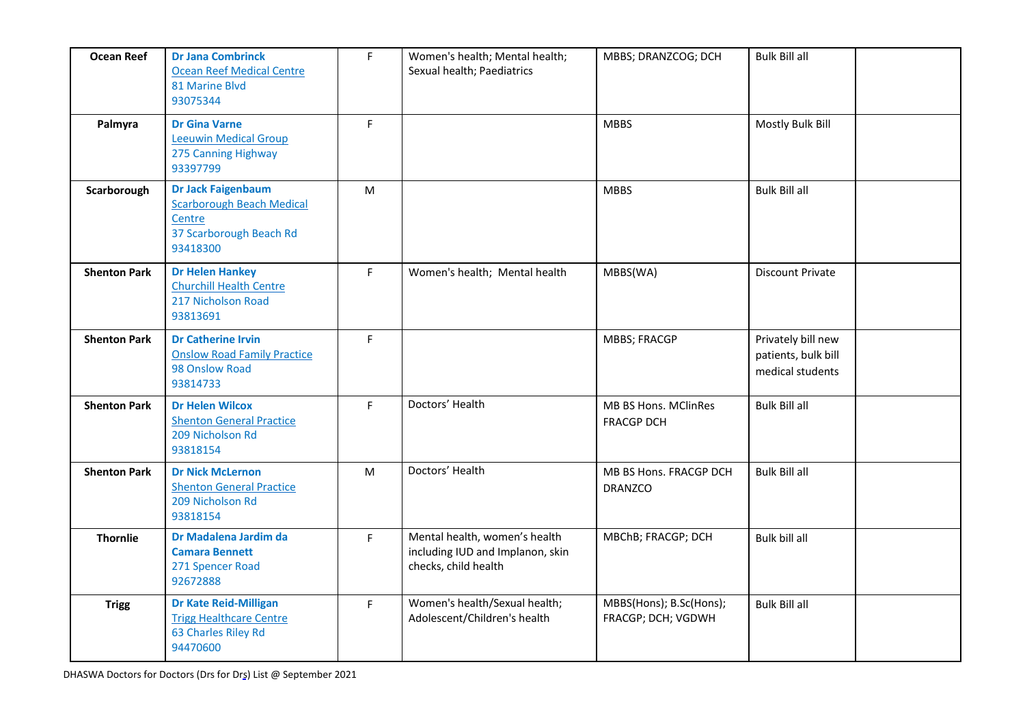| <b>Ocean Reef</b>   | <b>Dr Jana Combrinck</b><br><b>Ocean Reef Medical Centre</b><br>81 Marine Blvd<br>93075344                     | F         | Women's health; Mental health;<br>Sexual health; Paediatrics                              | MBBS; DRANZCOG; DCH                           | <b>Bulk Bill all</b>                                          |  |
|---------------------|----------------------------------------------------------------------------------------------------------------|-----------|-------------------------------------------------------------------------------------------|-----------------------------------------------|---------------------------------------------------------------|--|
| Palmyra             | <b>Dr Gina Varne</b><br><b>Leeuwin Medical Group</b><br>275 Canning Highway<br>93397799                        | F.        |                                                                                           | <b>MBBS</b>                                   | Mostly Bulk Bill                                              |  |
| Scarborough         | <b>Dr Jack Faigenbaum</b><br><b>Scarborough Beach Medical</b><br>Centre<br>37 Scarborough Beach Rd<br>93418300 | ${\sf M}$ |                                                                                           | <b>MBBS</b>                                   | <b>Bulk Bill all</b>                                          |  |
| <b>Shenton Park</b> | <b>Dr Helen Hankey</b><br><b>Churchill Health Centre</b><br>217 Nicholson Road<br>93813691                     | F         | Women's health; Mental health                                                             | MBBS(WA)                                      | <b>Discount Private</b>                                       |  |
| <b>Shenton Park</b> | <b>Dr Catherine Irvin</b><br><b>Onslow Road Family Practice</b><br>98 Onslow Road<br>93814733                  | F         |                                                                                           | <b>MBBS; FRACGP</b>                           | Privately bill new<br>patients, bulk bill<br>medical students |  |
| <b>Shenton Park</b> | <b>Dr Helen Wilcox</b><br><b>Shenton General Practice</b><br>209 Nicholson Rd<br>93818154                      | F.        | Doctors' Health                                                                           | MB BS Hons. MClinRes<br><b>FRACGP DCH</b>     | <b>Bulk Bill all</b>                                          |  |
| <b>Shenton Park</b> | <b>Dr Nick McLernon</b><br><b>Shenton General Practice</b><br>209 Nicholson Rd<br>93818154                     | ${\sf M}$ | Doctors' Health                                                                           | MB BS Hons. FRACGP DCH<br><b>DRANZCO</b>      | <b>Bulk Bill all</b>                                          |  |
| <b>Thornlie</b>     | Dr Madalena Jardim da<br><b>Camara Bennett</b><br>271 Spencer Road<br>92672888                                 | F.        | Mental health, women's health<br>including IUD and Implanon, skin<br>checks, child health | MBChB; FRACGP; DCH                            | Bulk bill all                                                 |  |
| <b>Trigg</b>        | Dr Kate Reid-Milligan<br><b>Trigg Healthcare Centre</b><br>63 Charles Riley Rd<br>94470600                     | F.        | Women's health/Sexual health;<br>Adolescent/Children's health                             | MBBS(Hons); B.Sc(Hons);<br>FRACGP; DCH; VGDWH | <b>Bulk Bill all</b>                                          |  |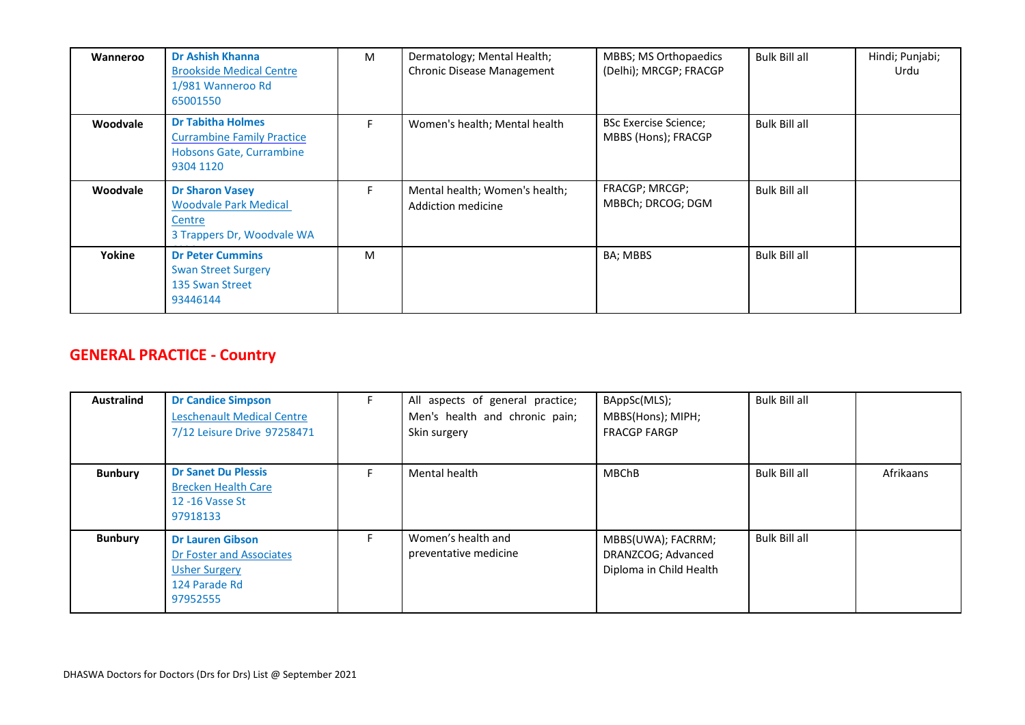| Wanneroo | <b>Dr Ashish Khanna</b><br><b>Brookside Medical Centre</b><br>1/981 Wanneroo Rd<br>65001550            | M  | Dermatology; Mental Health;<br>Chronic Disease Management | MBBS; MS Orthopaedics<br>(Delhi); MRCGP; FRACGP     | <b>Bulk Bill all</b> | Hindi; Punjabi;<br>Urdu |
|----------|--------------------------------------------------------------------------------------------------------|----|-----------------------------------------------------------|-----------------------------------------------------|----------------------|-------------------------|
| Woodvale | <b>Dr Tabitha Holmes</b><br><b>Currambine Family Practice</b><br>Hobsons Gate, Currambine<br>9304 1120 | F. | Women's health; Mental health                             | <b>BSc Exercise Science;</b><br>MBBS (Hons); FRACGP | <b>Bulk Bill all</b> |                         |
| Woodvale | <b>Dr Sharon Vasey</b><br><b>Woodvale Park Medical</b><br>Centre<br>3 Trappers Dr, Woodvale WA         | F. | Mental health; Women's health;<br>Addiction medicine      | FRACGP; MRCGP;<br>MBBCh; DRCOG; DGM                 | <b>Bulk Bill all</b> |                         |
| Yokine   | <b>Dr Peter Cummins</b><br><b>Swan Street Surgery</b><br>135 Swan Street<br>93446144                   | M  |                                                           | BA; MBBS                                            | <b>Bulk Bill all</b> |                         |

## **GENERAL PRACTICE - Country**

| <b>Australind</b> | <b>Dr Candice Simpson</b><br><b>Leschenault Medical Centre</b><br>7/12 Leisure Drive 97258471            | All aspects of general practice;<br>Men's health and chronic pain;<br>Skin surgery | BAppSc(MLS);<br>MBBS(Hons); MIPH;<br><b>FRACGP FARGP</b>            | <b>Bulk Bill all</b> |           |
|-------------------|----------------------------------------------------------------------------------------------------------|------------------------------------------------------------------------------------|---------------------------------------------------------------------|----------------------|-----------|
| <b>Bunbury</b>    | <b>Dr Sanet Du Plessis</b><br><b>Brecken Health Care</b><br>12 -16 Vasse St<br>97918133                  | Mental health                                                                      | <b>MBChB</b>                                                        | <b>Bulk Bill all</b> | Afrikaans |
| <b>Bunbury</b>    | <b>Dr Lauren Gibson</b><br>Dr Foster and Associates<br><b>Usher Surgery</b><br>124 Parade Rd<br>97952555 | Women's health and<br>preventative medicine                                        | MBBS(UWA); FACRRM;<br>DRANZCOG; Advanced<br>Diploma in Child Health | <b>Bulk Bill all</b> |           |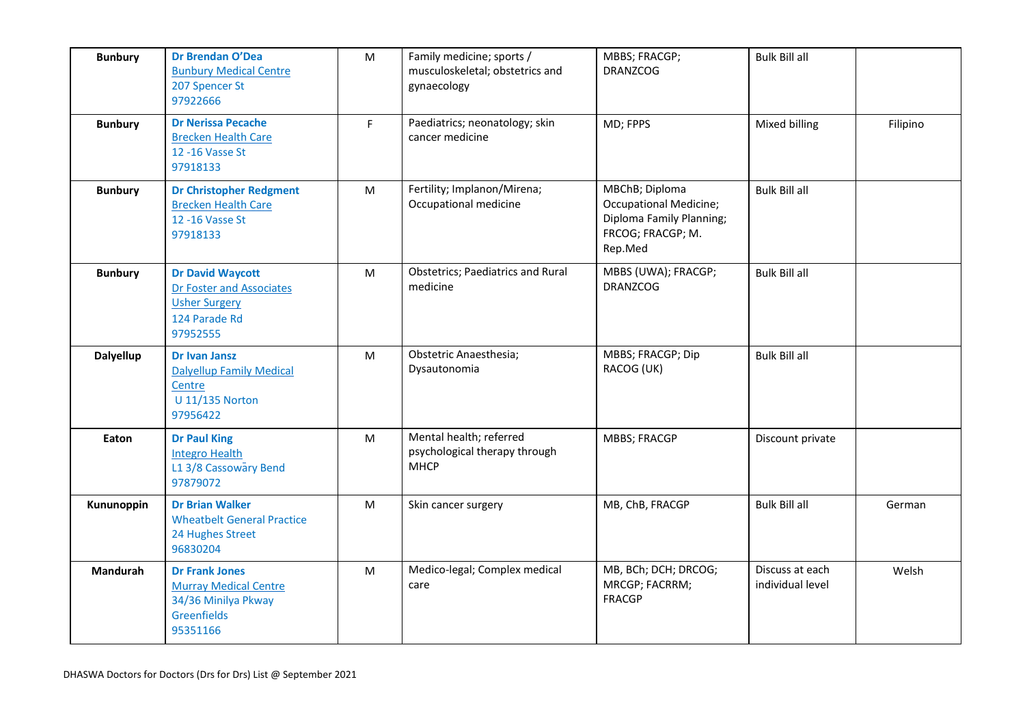| <b>Bunbury</b>   | Dr Brendan O'Dea<br><b>Bunbury Medical Centre</b><br>207 Spencer St<br>97922666                          | ${\sf M}$ | Family medicine; sports /<br>musculoskeletal; obstetrics and<br>gynaecology | MBBS; FRACGP;<br><b>DRANZCOG</b>                                                                            | <b>Bulk Bill all</b>                |          |
|------------------|----------------------------------------------------------------------------------------------------------|-----------|-----------------------------------------------------------------------------|-------------------------------------------------------------------------------------------------------------|-------------------------------------|----------|
| <b>Bunbury</b>   | <b>Dr Nerissa Pecache</b><br><b>Brecken Health Care</b><br>12 - 16 Vasse St<br>97918133                  | F.        | Paediatrics; neonatology; skin<br>cancer medicine                           | MD; FPPS                                                                                                    | Mixed billing                       | Filipino |
| <b>Bunbury</b>   | <b>Dr Christopher Redgment</b><br><b>Brecken Health Care</b><br>12 - 16 Vasse St<br>97918133             | M         | Fertility; Implanon/Mirena;<br>Occupational medicine                        | MBChB; Diploma<br><b>Occupational Medicine;</b><br>Diploma Family Planning;<br>FRCOG; FRACGP; M.<br>Rep.Med | <b>Bulk Bill all</b>                |          |
| <b>Bunbury</b>   | <b>Dr David Waycott</b><br>Dr Foster and Associates<br><b>Usher Surgery</b><br>124 Parade Rd<br>97952555 | ${\sf M}$ | <b>Obstetrics; Paediatrics and Rural</b><br>medicine                        | MBBS (UWA); FRACGP;<br><b>DRANZCOG</b>                                                                      | <b>Bulk Bill all</b>                |          |
| <b>Dalyellup</b> | <b>Dr Ivan Jansz</b><br><b>Dalyellup Family Medical</b><br>Centre<br><b>U 11/135 Norton</b><br>97956422  | ${\sf M}$ | Obstetric Anaesthesia;<br>Dysautonomia                                      | MBBS; FRACGP; Dip<br>RACOG (UK)                                                                             | <b>Bulk Bill all</b>                |          |
| Eaton            | <b>Dr Paul King</b><br><b>Integro Health</b><br>L1 3/8 Cassowary Bend<br>97879072                        | M         | Mental health; referred<br>psychological therapy through<br><b>MHCP</b>     | <b>MBBS; FRACGP</b>                                                                                         | Discount private                    |          |
| Kununoppin       | <b>Dr Brian Walker</b><br><b>Wheatbelt General Practice</b><br>24 Hughes Street<br>96830204              | ${\sf M}$ | Skin cancer surgery                                                         | MB, ChB, FRACGP                                                                                             | <b>Bulk Bill all</b>                | German   |
| <b>Mandurah</b>  | <b>Dr Frank Jones</b><br><b>Murray Medical Centre</b><br>34/36 Minilya Pkway<br>Greenfields<br>95351166  | ${\sf M}$ | Medico-legal; Complex medical<br>care                                       | MB, BCh; DCH; DRCOG;<br>MRCGP; FACRRM;<br><b>FRACGP</b>                                                     | Discuss at each<br>individual level | Welsh    |